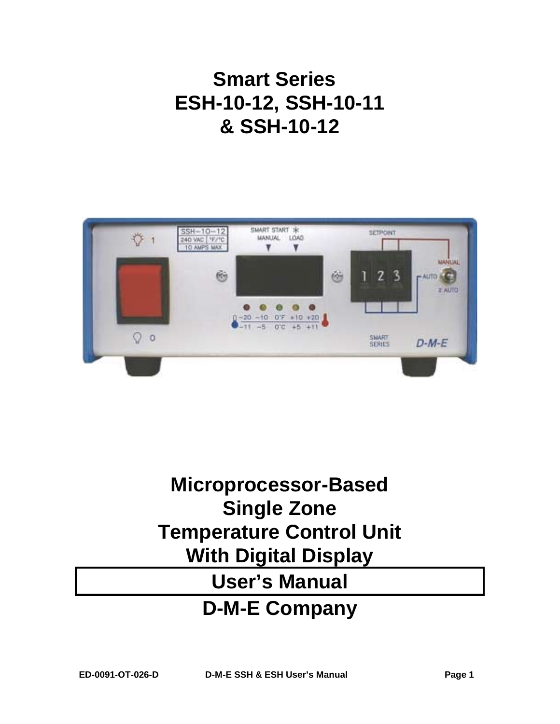# **Smart Series ESH-10-12, SSH-10-11 & SSH-10-12**



# **Microprocessor-Based Single Zone Temperature Control Unit With Digital Display User's Manual D-M-E Company**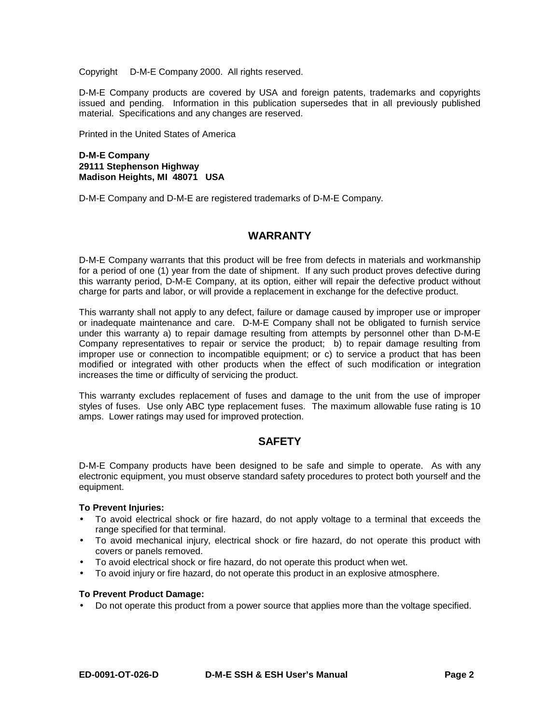Copyright © D-M-E Company 2000. All rights reserved.

D-M-E Company products are covered by USA and foreign patents, trademarks and copyrights issued and pending. Information in this publication supersedes that in all previously published material. Specifications and any changes are reserved.

Printed in the United States of America

#### **D-M-E Company 29111 Stephenson Highway Madison Heights, MI 48071 USA**

D-M-E Company and D-M-E are registered trademarks of D-M-E Company.

### **WARRANTY**

D-M-E Company warrants that this product will be free from defects in materials and workmanship for a period of one (1) year from the date of shipment. If any such product proves defective during this warranty period, D-M-E Company, at its option, either will repair the defective product without charge for parts and labor, or will provide a replacement in exchange for the defective product.

This warranty shall not apply to any defect, failure or damage caused by improper use or improper or inadequate maintenance and care. D-M-E Company shall not be obligated to furnish service under this warranty a) to repair damage resulting from attempts by personnel other than D-M-E Company representatives to repair or service the product; b) to repair damage resulting from improper use or connection to incompatible equipment; or c) to service a product that has been modified or integrated with other products when the effect of such modification or integration increases the time or difficulty of servicing the product.

This warranty excludes replacement of fuses and damage to the unit from the use of improper styles of fuses. Use only ABC type replacement fuses. The maximum allowable fuse rating is 10 amps. Lower ratings may used for improved protection.

# **SAFETY**

D-M-E Company products have been designed to be safe and simple to operate. As with any electronic equipment, you must observe standard safety procedures to protect both yourself and the equipment.

#### **To Prevent Injuries:**

- To avoid electrical shock or fire hazard, do not apply voltage to a terminal that exceeds the range specified for that terminal.
- To avoid mechanical injury, electrical shock or fire hazard, do not operate this product with covers or panels removed.
- To avoid electrical shock or fire hazard, do not operate this product when wet.
- To avoid injury or fire hazard, do not operate this product in an explosive atmosphere.

#### **To Prevent Product Damage:**

• Do not operate this product from a power source that applies more than the voltage specified.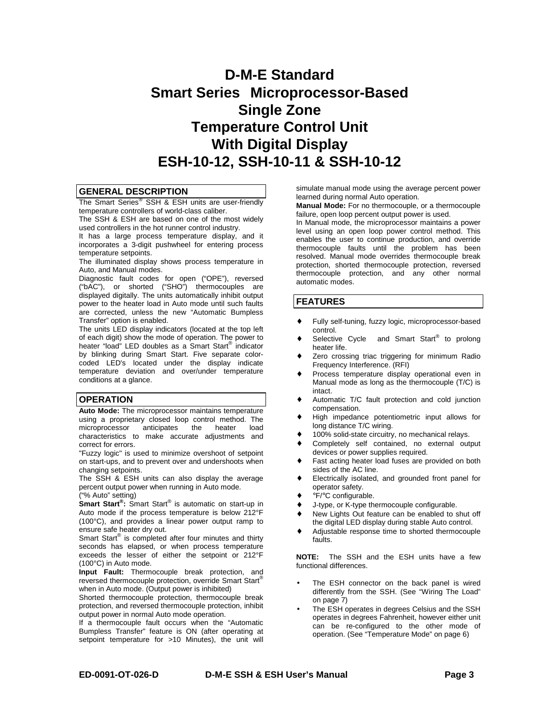# **D-M-E Standard Smart Series<sup>®</sup> Microprocessor-Based Single Zone Temperature Control Unit With Digital Display ESH-10-12, SSH-10-11 & SSH-10-12**

#### **GENERAL DESCRIPTION**

The Smart Series<sup>®</sup> SSH & ESH units are user-friendly temperature controllers of world-class caliber.

The SSH & ESH are based on one of the most widely used controllers in the hot runner control industry.

It has a large process temperature display, and it incorporates a 3-digit pushwheel for entering process temperature setpoints.

The illuminated display shows process temperature in Auto, and Manual modes.

Diagnostic fault codes for open ("OPE"), reversed ("bAC"), or shorted ("SHO") thermocouples are displayed digitally. The units automatically inhibit output power to the heater load in Auto mode until such faults are corrected, unless the new "Automatic Bumpless Transfer" option is enabled.

The units LED display indicators (located at the top left of each digit) show the mode of operation. The power to heater "load" LED doubles as a Smart Start® indicator by blinking during Smart Start. Five separate colorcoded LED's located under the display indicate temperature deviation and over/under temperature conditions at a glance.

#### **OPERATION**

**Auto Mode:** The microprocessor maintains temperature using a proprietary closed loop control method. The microprocessor anticipates the heater load characteristics to make accurate adjustments and correct for errors.

"Fuzzy logic" is used to minimize overshoot of setpoint on start-ups, and to prevent over and undershoots when changing setpoints.

The SSH & ESH units can also display the average percent output power when running in Auto mode. ("% Auto" setting)

**Smart Start®:** Smart Start® is automatic on start-up in Auto mode if the process temperature is below 212°F (100°C), and provides a linear power output ramp to ensure safe heater dry out.

Smart Start® is completed after four minutes and thirty seconds has elapsed, or when process temperature exceeds the lesser of either the setpoint or 212°F (100°C) in Auto mode.

**Input Fault:** Thermocouple break protection, and reversed thermocouple protection, override Smart Start® when in Auto mode. (Output power is inhibited)

Shorted thermocouple protection, thermocouple break protection, and reversed thermocouple protection, inhibit output power in normal Auto mode operation.

If a thermocouple fault occurs when the "Automatic Bumpless Transfer" feature is ON (after operating at setpoint temperature for >10 Minutes), the unit will simulate manual mode using the average percent power learned during normal Auto operation.

**Manual Mode:** For no thermocouple, or a thermocouple failure, open loop percent output power is used.

In Manual mode, the microprocessor maintains a power level using an open loop power control method. This enables the user to continue production, and override thermocouple faults until the problem has been resolved. Manual mode overrides thermocouple break protection, shorted thermocouple protection, reversed thermocouple protection, and any other normal automatic modes.

#### **FEATURES**

- Fully self-tuning, fuzzy logic, microprocessor-based control.
- Selective Cycle<sup>®</sup> and Smart Start<sup>®</sup> to prolong heater life.
- Zero crossing triac triggering for minimum Radio Frequency Interference. (RFI)
- Process temperature display operational even in Manual mode as long as the thermocouple (T/C) is intact.
- Automatic T/C fault protection and cold junction compensation.
- High impedance potentiometric input allows for long distance T/C wiring.
- 100% solid-state circuitry, no mechanical relays.
- Completely self contained, no external output devices or power supplies required.
- Fast acting heater load fuses are provided on both sides of the AC line.
- Electrically isolated, and grounded front panel for operator safety.
- °F/°C configurable.
- J-type, or K-type thermocouple configurable.
- New Lights Out feature can be enabled to shut off the digital LED display during stable Auto control.
- Adjustable response time to shorted thermocouple faults.

**NOTE:** The SSH and the ESH units have a few functional differences.

- The ESH connector on the back panel is wired differently from the SSH. (See "Wiring The Load" on page 7)
- The ESH operates in degrees Celsius and the SSH operates in degrees Fahrenheit, however either unit can be re-configured to the other mode of operation. (See "Temperature Mode" on page 6)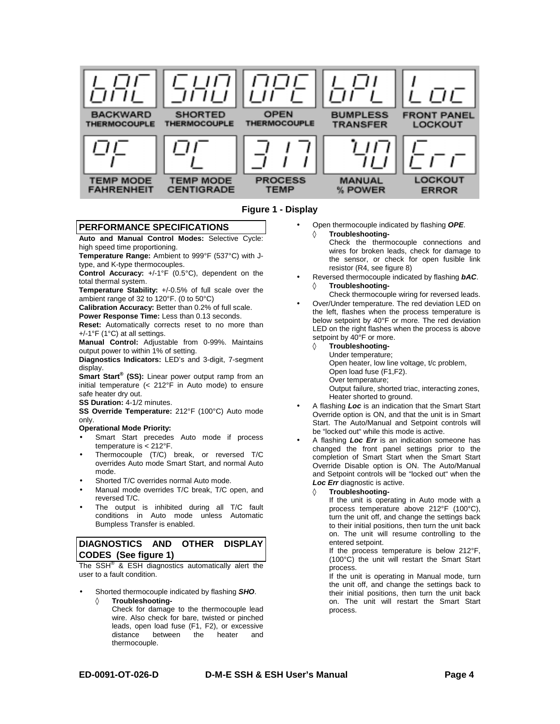



#### **PERFORMANCE SPECIFICATIONS**

**Auto and Manual Control Modes:** Selective Cycle: high speed time proportioning.

**Temperature Range:** Ambient to 999°F (537°C) with Jtype, and K-type thermocouples.

**Control Accuracy:** +/-1°F (0.5°C), dependent on the total thermal system.

**Temperature Stability:** +/-0.5% of full scale over the ambient range of 32 to 120°F. (0 to 50°C)

**Calibration Accuracy:** Better than 0.2% of full scale. **Power Response Time:** Less than 0.13 seconds.

**Reset:** Automatically corrects reset to no more than +/-1°F (1°C) at all settings.

**Manual Control:** Adjustable from 0-99%. Maintains output power to within 1% of setting.

**Diagnostics Indicators:** LED's and 3-digit, 7-segment display.

**Smart Start® (SS):** Linear power output ramp from an initial temperature (< 212°F in Auto mode) to ensure safe heater dry out.

**SS Duration:** 4-1/2 minutes.

**SS Override Temperature:** 212°F (100°C) Auto mode only.

#### **Operational Mode Priority:**

- Smart Start precedes Auto mode if process temperature is < 212°F.
- Thermocouple (T/C) break, or reversed T/C overrides Auto mode Smart Start, and normal Auto mode.
- Shorted T/C overrides normal Auto mode.
- Manual mode overrides T/C break, T/C open, and reversed T/C.
- The output is inhibited during all T/C fault conditions in Auto mode unless Automatic Bumpless Transfer is enabled.

#### **DIAGNOSTICS AND OTHER DISPLAY CODES (See figure 1)**

The  $SSH^{\circledR}$  & ESH diagnostics automatically alert the user to a fault condition.

- Shorted thermocouple indicated by flashing *SHO*. ◊ **Troubleshooting-**
	- Check for damage to the thermocouple lead wire. Also check for bare, twisted or pinched leads, open load fuse (F1, F2), or excessive the heater and thermocouple.

• Open thermocouple indicated by flashing *OPE*.

◊ **Troubleshooting-**

Check the thermocouple connections and wires for broken leads, check for damage to the sensor, or check for open fusible link resistor (R4, see figure 8)

• Reversed thermocouple indicated by flashing *bAC*. ◊ **Troubleshooting-**

Check thermocouple wiring for reversed leads. • Over/Under temperature. The red deviation LED on

- the left, flashes when the process temperature is below setpoint by 40°F or more. The red deviation LED on the right flashes when the process is above setpoint by 40°F or more.
	- ◊ **Troubleshooting-**
		- Under temperature;

Open heater, low line voltage, t/c problem,

- Open load fuse (F1,F2).
- Over temperature;
- Output failure, shorted triac, interacting zones, Heater shorted to ground.
- A flashing *Loc* is an indication that the Smart Start Override option is ON, and that the unit is in Smart Start. The Auto/Manual and Setpoint controls will be "locked out" while this mode is active.
- A flashing *Loc Err* is an indication someone has changed the front panel settings prior to the completion of Smart Start when the Smart Start Override Disable option is ON. The Auto/Manual and Setpoint controls will be "locked out" when the *Loc Err* diagnostic is active.
	- **Troubleshooting-**

If the unit is operating in Auto mode with a process temperature above 212°F (100°C), turn the unit off, and change the settings back to their initial positions, then turn the unit back on. The unit will resume controlling to the entered setpoint.

If the process temperature is below 212°F, (100°C) the unit will restart the Smart Start process.

If the unit is operating in Manual mode, turn the unit off, and change the settings back to their initial positions, then turn the unit back on. The unit will restart the Smart Start process.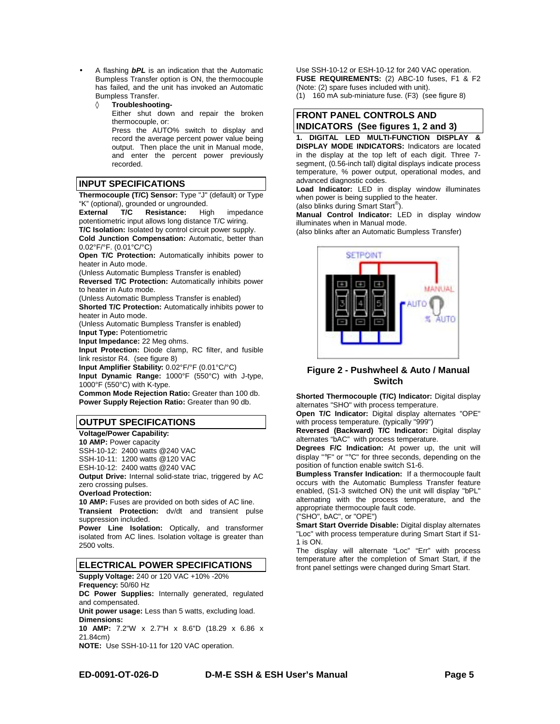- A flashing *bPL* is an indication that the Automatic Bumpless Transfer option is ON, the thermocouple has failed, and the unit has invoked an Automatic Bumpless Transfer.
	- ◊ **Troubleshooting-**Either shut down and repair the broken thermocouple, or: Press the AUTO% switch to display and record the average percent power value being output. Then place the unit in Manual mode, and enter the percent power previously recorded.

#### **INPUT SPECIFICATIONS**

**Thermocouple (T/C) Sensor:** Type "J" (default) or Type "K" (optional), grounded or ungrounded.

**External T/C Resistance:** High impedance potentiometric input allows long distance T/C wiring. **T/C Isolation:** Isolated by control circuit power supply.

**Cold Junction Compensation:** Automatic, better than 0.02°F/°F. (0.01°C/°C)

**Open T/C Protection:** Automatically inhibits power to heater in Auto mode.

(Unless Automatic Bumpless Transfer is enabled)

**Reversed T/C Protection:** Automatically inhibits power to heater in Auto mode.

(Unless Automatic Bumpless Transfer is enabled)

**Shorted T/C Protection:** Automatically inhibits power to heater in Auto mode.

(Unless Automatic Bumpless Transfer is enabled)

**Input Type:** Potentiometric **Input Impedance:** 22 Meg ohms.

**Input Protection:** Diode clamp, RC filter, and fusible link resistor R4. (see figure 8)

**Input Amplifier Stability:** 0.02°F/°F (0.01°C/°C)

**Input Dynamic Range:** 1000°F (550°C) with J-type, 1000°F (550°C) with K-type.

**Common Mode Rejection Ratio:** Greater than 100 db. **Power Supply Rejection Ratio:** Greater than 90 db.

#### **OUTPUT SPECIFICATIONS**

**Voltage/Power Capability: 10 AMP:** Power capacity

SSH-10-12: 2400 watts @240 VAC

SSH-10-11: 1200 watts @120 VAC

ESH-10-12: 2400 watts @240 VAC

**Output Drive:** Internal solid-state triac, triggered by AC zero crossing pulses.

**Overload Protection:**

**10 AMP:** Fuses are provided on both sides of AC line. **Transient Protection:** dv/dt and transient pulse suppression included.

**Power Line Isolation:** Optically, and transformer isolated from AC lines. Isolation voltage is greater than 2500 volts.

#### **ELECTRICAL POWER SPECIFICATIONS**

**Supply Voltage:** 240 or 120 VAC +10% -20% **Frequency:** 50/60 Hz

**DC Power Supplies:** Internally generated, regulated and compensated.

**Unit power usage:** Less than 5 watts, excluding load.

**Dimensions:**

**10 AMP:** 7.2"W x 2.7"H x 8.6"D (18.29 x 6.86 x 21.84cm)

**NOTE:** Use SSH-10-11 for 120 VAC operation.

Use SSH-10-12 or ESH-10-12 for 240 VAC operation. **FUSE REQUIREMENTS:** (2) ABC-10 fuses, F1 & F2 (Note: (2) spare fuses included with unit).

(1) 160 mA sub-miniature fuse. (F3) (see figure 8)

#### **FRONT PANEL CONTROLS AND INDICATORS (See figures 1, 2 and 3)**

**1. DIGITAL LED MULTI-FUNCTION DISPLAY & DISPLAY MODE INDICATORS:** Indicators are located in the display at the top left of each digit. Three 7 segment, (0*.*56-inch tall) digital displays indicate process temperature, % power output, operational modes, and advanced diagnostic codes.

**Load Indicator:** LED in display window illuminates when power is being supplied to the heater. (also blinks during Smart Start®).

**Manual Control Indicator:** LED in display window illuminates when in Manual mode.

(also blinks after an Automatic Bumpless Transfer)



#### **Figure 2 - Pushwheel & Auto / Manual Switch**

**Shorted Thermocouple (T/C) Indicator:** Digital display alternates "SHO" with process temperature.

**Open T/C Indicator:** Digital display alternates "OPE" with process temperature. (typically "999")

**Reversed (Backward) T/C Indicator:** Digital display alternates "bAC" with process temperature.

**Degrees F/C Indication:** At power up, the unit will display "°F" or "°C" for three seconds, depending on the position of function enable switch S1-6.

**Bumpless Transfer Indication:** If a thermocouple fault occurs with the Automatic Bumpless Transfer feature enabled, (S1-3 switched ON) the unit will display "bPL" alternating with the process temperature, and the appropriate thermocouple fault code.

("SHO", bAC", or "OPE")

**Smart Start Override Disable:** Digital display alternates "Loc" with process temperature during Smart Start if S1- 1 is ON.

The display will alternate "Loc" "Err" with process temperature after the completion of Smart Start, if the front panel settings were changed during Smart Start.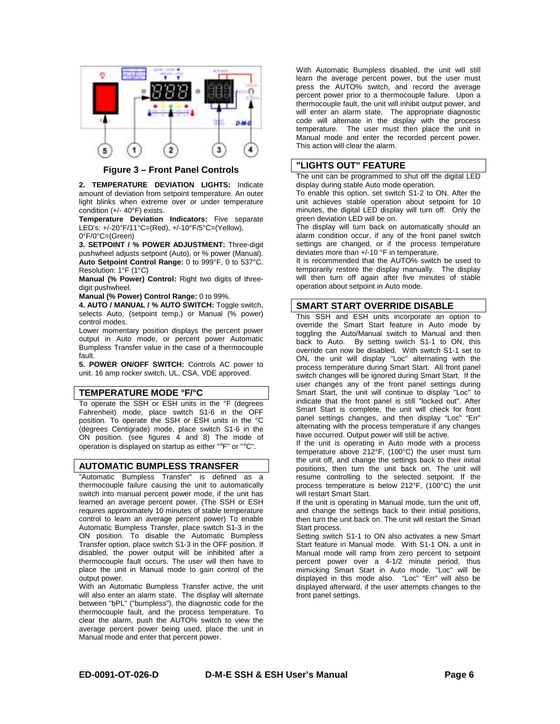

**Figure 3 – Front Panel Controls**

**2. TEMPERATURE DEVIATION LIGHTS:** Indicate amount of deviation from setpoint temperature. An outer light blinks when extreme over or under temperature condition (+/- 40°F) exists.

**Temperature Deviation Indicators:** Five separate LED's: +/-20°F/11°C=(Red), +/-10°F/5°C=(Yellow), 0°F/0°C=(Green)

**3. SETPOINT / % POWER ADJUSTMENT:** Three-digit pushwheel adjusts setpoint (Auto), or % power (Manual). **Auto Setpoint Control Range:** 0 to 999°F, 0 to 537°C. Resolution: 1°F (1°C)

**Manual (% Power) Control:** Right two digits of threedigit pushwheel.

**Manual (% Power) Control Range:** 0 to 99%.

**4. AUTO / MANUAL / % AUTO SWITCH:** Toggle switch, selects Auto, (setpoint temp.) or Manual (% power) control modes.

Lower momentary position displays the percent power output in Auto mode, or percent power Automatic Bumpless Transfer value in the case of a thermocouple fault.

**5. POWER ON/OFF SWITCH:** Controls AC power to unit. 16 amp rocker switch, UL, CSA, VDE approved.

#### **TEMPERATURE MODE °F/°C**

To operate the SSH or ESH units in the °F (degrees Fahrenheit) mode, place switch S1-6 in the OFF position. To operate the SSH or ESH units in the °C (degrees Centigrade) mode, place switch S1-6 in the ON position. (see figures 4 and 8) The mode of operation is displayed on startup as either "°F" or "°C".

#### **AUTOMATIC BUMPLESS TRANSFER**

"Automatic Bumpless Transfer" is defined as a thermocouple failure causing the unit to automatically switch into manual percent power mode, if the unit has learned an average percent power. (The SSH or ESH requires approximately 10 minutes of stable temperature control to learn an average percent power) To enable Automatic Bumpless Transfer, place switch S1-3 in the ON position. To disable the Automatic Bumpless Transfer option, place switch S1-3 in the OFF position. If disabled, the power output will be inhibited after a thermocouple fault occurs. The user will then have to place the unit in Manual mode to gain control of the output power.

With an Automatic Bumpless Transfer active, the unit will also enter an alarm state. The display will alternate between "bPL" ("bumpless"), the diagnostic code for the thermocouple fault, and the process temperature. To clear the alarm, push the AUTO% switch to view the average percent power being used, place the unit in Manual mode and enter that percent power.

With Automatic Bumpless disabled, the unit will still learn the average percent power, but the user must press the AUTO% switch, and record the average percent power prior to a thermocouple failure. Upon a thermocouple fault, the unit will inhibit output power, and will enter an alarm state. The appropriate diagnostic code will alternate in the display with the process temperature. The user must then place the unit in Manual mode and enter the recorded percent power. This action will clear the alarm.

#### **"LIGHTS OUT" FEATURE**

The unit can be programmed to shut off the digital LED display during stable Auto mode operation.

To enable this option, set switch S1-2 to ON. After the unit achieves stable operation about setpoint for 10 minutes, the digital LED display will turn off. Only the green deviation LED will be on.

The display will turn back on automatically should an alarm condition occur, if any of the front panel switch settings are changed, or if the process temperature deviates more than +/-10 °F in temperature.

It is recommended that the AUTO% switch be used to temporarily restore the display manually. The display will then turn off again after five minutes of stable operation about setpoint in Auto mode.

#### **SMART START OVERRIDE DISABLE**

This SSH and ESH units incorporate an option to override the Smart Start feature in Auto mode by toggling the Auto/Manual switch to Manual and then back to Auto. By setting switch S1-1 to ON, this override can now be disabled. With switch S1-1 set to ON, the unit will display "Loc" alternating with the process temperature during Smart Start. All front panel switch changes will be ignored during Smart Start. If the user changes any of the front panel settings during Smart Start, the unit will continue to display "Loc" to indicate that the front panel is still "locked out". After Smart Start is complete, the unit will check for front panel settings changes, and then display "Loc" "Err" alternating with the process temperature if any changes have occurred. Output power will still be active.

If the unit is operating in Auto mode with a process temperature above 212°F, (100°C) the user must turn the unit off, and change the settings back to their initial positions, then turn the unit back on. The unit will resume controlling to the selected setpoint. If the process temperature is below 212°F, (100°C) the unit will restart Smart Start.

If the unit is operating in Manual mode, turn the unit off, and change the settings back to their initial positions, then turn the unit back on. The unit will restart the Smart Start process.

Setting switch S1-1 to ON also activates a new Smart Start feature in Manual mode. With S1-1 ON, a unit in Manual mode will ramp from zero percent to setpoint percent power over a 4-1/2 minute period, thus mimicking Smart Start in Auto mode. "Loc" will be displayed in this mode also. "Loc" "Err" will also be displayed afterward, if the user attempts changes to the front panel settings.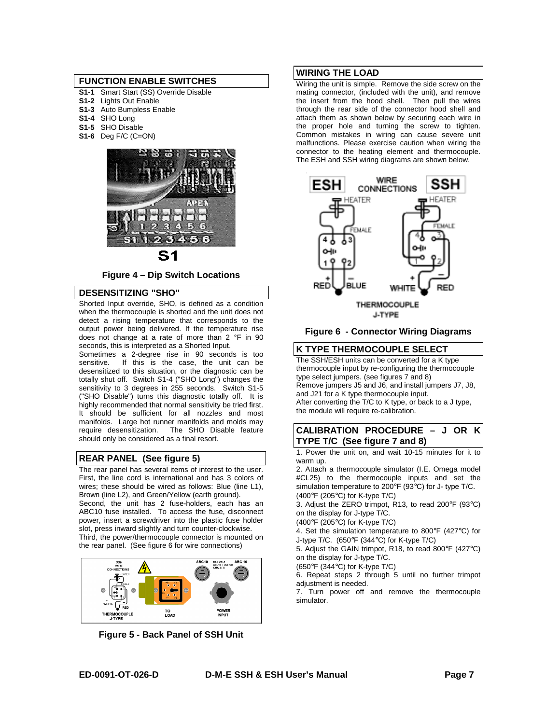#### **FUNCTION ENABLE SWITCHES**

- **S1-1** Smart Start (SS) Override Disable
- **S1-2** Lights Out Enable
- **S1-3** Auto Bumpless Enable
- **S1-4** SHO Long
- **S1-5** SHO Disable
- **S1-6** Deg F/C (C=ON)



# S1

**Figure 4 – Dip Switch Locations**

#### **DESENSITIZING "SHO"**

Shorted Input override, SHO, is defined as a condition when the thermocouple is shorted and the unit does not detect a rising temperature that corresponds to the output power being delivered. If the temperature rise does not change at a rate of more than 2 °F in 90 seconds, this is interpreted as a Shorted Input.

Sometimes a 2-degree rise in 90 seconds is too sensitive. If this is the case, the unit can be If this is the case, the unit can be desensitized to this situation, or the diagnostic can be totally shut off. Switch S1-4 ("SHO Long") changes the sensitivity to 3 degrees in 255 seconds. Switch S1-5 ("SHO Disable") turns this diagnostic totally off. It is highly recommended that normal sensitivity be tried first. It should be sufficient for all nozzles and most manifolds. Large hot runner manifolds and molds may require desensitization. The SHO Disable feature The SHO Disable feature should only be considered as a final resort.

#### **REAR PANEL (See figure 5)**

The rear panel has several items of interest to the user. First, the line cord is international and has 3 colors of wires; these should be wired as follows: Blue (line L1), Brown (line L2), and Green/Yellow (earth ground). Second, the unit has 2 fuse-holders, each has an ABC10 fuse installed. To access the fuse, disconnect power, insert a screwdriver into the plastic fuse holder slot, press inward slightly and turn counter-clockwise. Third, the power/thermocouple connector is mounted on the rear panel. (See figure 6 for wire connections)



**Figure 5 - Back Panel of SSH Unit**

#### **WIRING THE LOAD**

Wiring the unit is simple. Remove the side screw on the mating connector, (included with the unit), and remove the insert from the hood shell. Then pull the wires through the rear side of the connector hood shell and attach them as shown below by securing each wire in the proper hole and turning the screw to tighten. Common mistakes in wiring can cause severe unit malfunctions. Please exercise caution when wiring the connector to the heating element and thermocouple. The ESH and SSH wiring diagrams are shown below.



**Figure 6 - Connector Wiring Diagrams** 

#### **K TYPE THERMOCOUPLE SELECT**

The SSH/ESH units can be converted for a K type thermocouple input by re-configuring the thermocouple type select jumpers. (see figures 7 and 8) Remove jumpers J5 and J6, and install jumpers J7, J8, and J21 for a K type thermocouple input. After converting the T/C to K type, or back to a J type, the module will require re-calibration.

#### **CALIBRATION PROCEDURE – J OR K TYPE T/C (See figure 7 and 8)**

1. Power the unit on, and wait 10-15 minutes for it to warm up.

2. Attach a thermocouple simulator (I.E. Omega model #CL25) to the thermocouple inputs and set the simulation temperature to 200°F (93°C) for J- type T/C. (400°F (205°C) for K-type T/C)

3. Adjust the ZERO trimpot, R13, to read 200°F (93°C) on the display for J-type T/C.

(400°F (205°C) for K-type T/C)

4. Set the simulation temperature to 800°F (427°C) for J-type T/C. (650°F (344°C) for K-type T/C)

5. Adjust the GAIN trimpot, R18, to read 800°F (427°C) on the display for J-type T/C.

(650°F (344°C) for K-type T/C)

6. Repeat steps 2 through 5 until no further trimpot adjustment is needed.

7. Turn power off and remove the thermocouple simulator.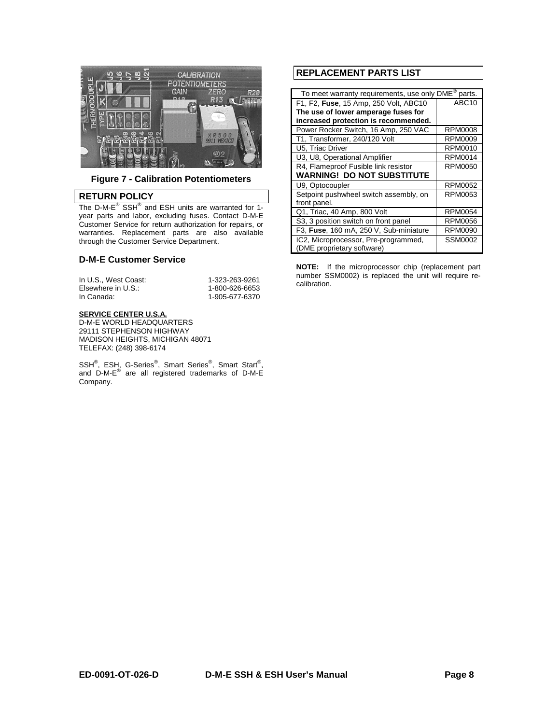

**Figure 7 - Calibration Potentiometers** 

#### **RETURN POLICY**

The D-M-E<sup>®</sup> SSH<sup>®</sup> and ESH units are warranted for 1year parts and labor, excluding fuses. Contact D-M-E Customer Service for return authorization for repairs, or warranties. Replacement parts are also available through the Customer Service Department.

#### **D-M-E Customer Service**

| In U.S., West Coast: | 1-323-263-9261 |
|----------------------|----------------|
| Elsewhere in U.S.:   | 1-800-626-6653 |
| In Canada:           | 1-905-677-6370 |

#### **SERVICE CENTER U.S.A.**

D-M-E WORLD HEADQUARTERS 29111 STEPHENSON HIGHWAY MADISON HEIGHTS, MICHIGAN 48071 TELEFAX: (248) 398-6174

SSH<sup>®</sup>, ESH, G-Series<sup>®</sup>, Smart Series<sup>®</sup>, Smart Start<sup>®</sup>, and D-M-E $^{\circledR}$  are all registered trademarks of D-M-E Company.

### **REPLACEMENT PARTS LIST**

| To meet warranty requirements, use only DME®<br>parts. |                   |  |  |
|--------------------------------------------------------|-------------------|--|--|
| F1, F2, Fuse, 15 Amp, 250 Volt, ABC10                  | ABC <sub>10</sub> |  |  |
| The use of lower amperage fuses for                    |                   |  |  |
| increased protection is recommended.                   |                   |  |  |
| Power Rocker Switch, 16 Amp, 250 VAC                   | <b>RPM0008</b>    |  |  |
| T1, Transformer, 240/120 Volt                          | RPM0009           |  |  |
| U5, Triac Driver                                       | RPM0010           |  |  |
| U3, U8, Operational Amplifier                          | <b>RPM0014</b>    |  |  |
| R4, Flameproof Fusible link resistor                   | <b>RPM0050</b>    |  |  |
| <b>WARNING! DO NOT SUBSTITUTE</b>                      |                   |  |  |
| U9, Optocoupler                                        | <b>RPM0052</b>    |  |  |
| Setpoint pushwheel switch assembly, on                 | RPM0053           |  |  |
| front panel.                                           |                   |  |  |
| Q1, Triac, 40 Amp, 800 Volt                            | <b>RPM0054</b>    |  |  |
| S3, 3 position switch on front panel                   | <b>RPM0056</b>    |  |  |
| F3, Fuse, 160 mA, 250 V, Sub-miniature                 | <b>RPM0090</b>    |  |  |
| IC2, Microprocessor, Pre-programmed,                   | <b>SSM0002</b>    |  |  |
| (DME proprietary software)                             |                   |  |  |

**NOTE:** If the microprocessor chip (replacement part number SSM0002) is replaced the unit will require recalibration.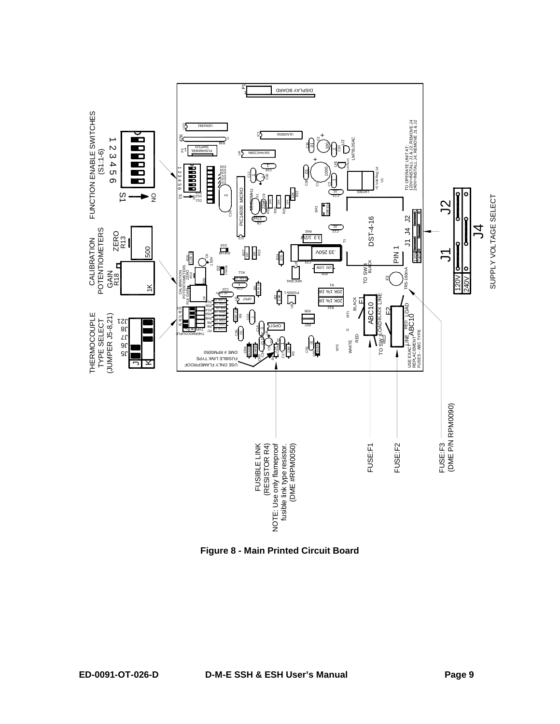

**Figure 8 - Main Printed Circuit Board**